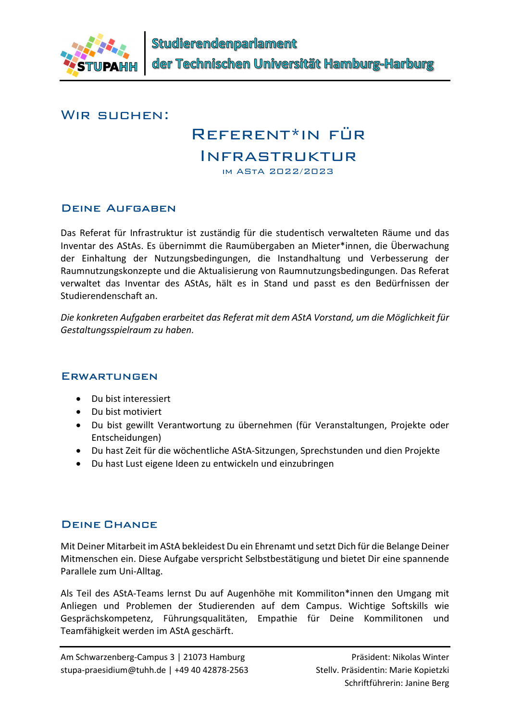

#### WIR SUCHEN:

# Referent\*in für

## Infrastruktur

im AStA 2022/2023

#### Deine Aufgaben

Das Referat für Infrastruktur ist zuständig für die studentisch verwalteten Räume und das Inventar des AStAs. Es übernimmt die Raumübergaben an Mieter\*innen, die Überwachung der Einhaltung der Nutzungsbedingungen, die Instandhaltung und Verbesserung der Raumnutzungskonzepte und die Aktualisierung von Raumnutzungsbedingungen. Das Referat verwaltet das Inventar des AStAs, hält es in Stand und passt es den Bedürfnissen der Studierendenschaft an.

Die konkreten Aufgaben erarbeitet das Referat mit dem AStA Vorstand, um die Möglichkeit für Gestaltungsspielraum zu haben.

#### **ERWARTUNGEN**

- Du bist interessiert
- Du bist motiviert
- Du bist gewillt Verantwortung zu übernehmen (für Veranstaltungen, Projekte oder Entscheidungen)
- Du hast Zeit für die wöchentliche AStA-Sitzungen, Sprechstunden und dien Projekte
- Du hast Lust eigene Ideen zu entwickeln und einzubringen

#### Deine Chance

Mit Deiner Mitarbeit im AStA bekleidest Du ein Ehrenamt und setzt Dich für die Belange Deiner Mitmenschen ein. Diese Aufgabe verspricht Selbstbestätigung und bietet Dir eine spannende Parallele zum Uni-Alltag.

Als Teil des AStA-Teams lernst Du auf Augenhöhe mit Kommiliton\*innen den Umgang mit Anliegen und Problemen der Studierenden auf dem Campus. Wichtige Softskills wie Gesprächskompetenz, Führungsqualitäten, Empathie für Deine Kommilitonen und Teamfähigkeit werden im AStA geschärft.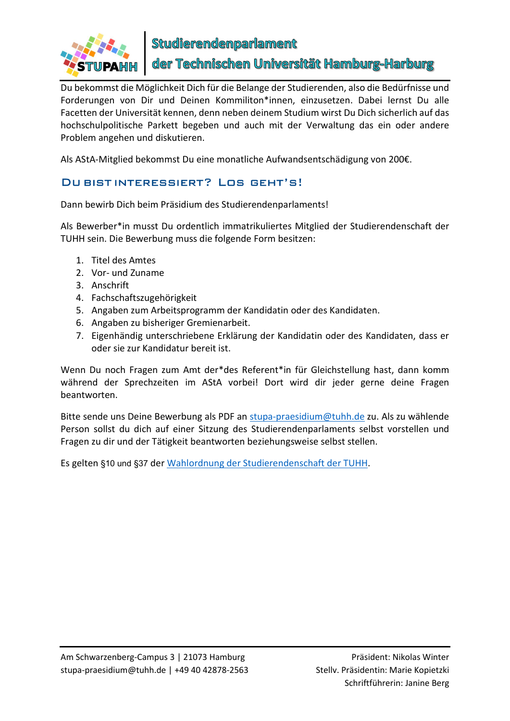

Studierendenparlament

der Technischen Universität Hamburg-Harburg

Du bekommst die Möglichkeit Dich für die Belange der Studierenden, also die Bedürfnisse und Forderungen von Dir und Deinen Kommiliton\*innen, einzusetzen. Dabei lernst Du alle Facetten der Universität kennen, denn neben deinem Studium wirst Du Dich sicherlich auf das hochschulpolitische Parkett begeben und auch mit der Verwaltung das ein oder andere Problem angehen und diskutieren.

Als AStA-Mitglied bekommst Du eine monatliche Aufwandsentschädigung von 200€.

#### Du bist interessiert? Los geht's!

Dann bewirb Dich beim Präsidium des Studierendenparlaments!

Als Bewerber\*in musst Du ordentlich immatrikuliertes Mitglied der Studierendenschaft der TUHH sein. Die Bewerbung muss die folgende Form besitzen:

- 1. Titel des Amtes
- 2. Vor- und Zuname
- 3. Anschrift
- 4. Fachschaftszugehörigkeit
- 5. Angaben zum Arbeitsprogramm der Kandidatin oder des Kandidaten.
- 6. Angaben zu bisheriger Gremienarbeit.
- 7. Eigenhändig unterschriebene Erklärung der Kandidatin oder des Kandidaten, dass er oder sie zur Kandidatur bereit ist.

Wenn Du noch Fragen zum Amt der\*des Referent\*in für Gleichstellung hast, dann komm während der Sprechzeiten im AStA vorbei! Dort wird dir jeder gerne deine Fragen beantworten.

Bitte sende uns Deine Bewerbung als PDF an stupa-praesidium@tuhh.de zu. Als zu wählende Person sollst du dich auf einer Sitzung des Studierendenparlaments selbst vorstellen und Fragen zu dir und der Tätigkeit beantworten beziehungsweise selbst stellen.

Es gelten §10 und §37 der Wahlordnung der Studierendenschaft der TUHH.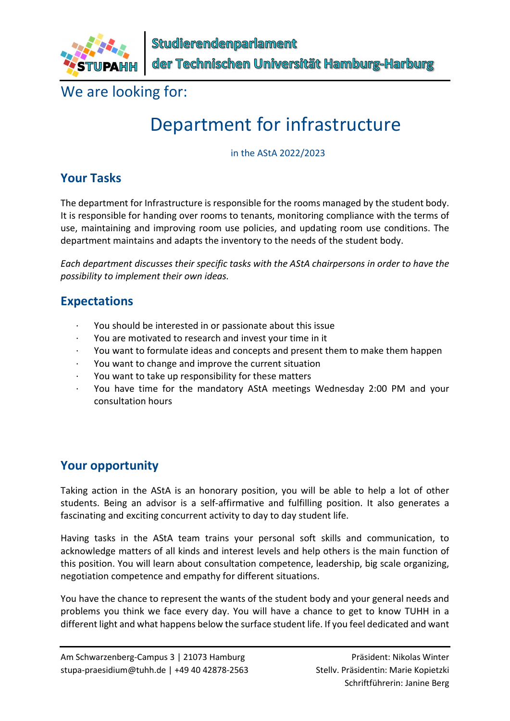

We are looking for:

# Department for infrastructure

in the AStA 2022/2023

#### Your Tasks

The department for Infrastructure is responsible for the rooms managed by the student body. It is responsible for handing over rooms to tenants, monitoring compliance with the terms of use, maintaining and improving room use policies, and updating room use conditions. The department maintains and adapts the inventory to the needs of the student body.

Each department discusses their specific tasks with the AStA chairpersons in order to have the possibility to implement their own ideas.

#### Expectations

- · You should be interested in or passionate about this issue
- You are motivated to research and invest your time in it
- · You want to formulate ideas and concepts and present them to make them happen
- You want to change and improve the current situation
- · You want to take up responsibility for these matters
- · You have time for the mandatory AStA meetings Wednesday 2:00 PM and your consultation hours

#### Your opportunity

Taking action in the AStA is an honorary position, you will be able to help a lot of other students. Being an advisor is a self-affirmative and fulfilling position. It also generates a fascinating and exciting concurrent activity to day to day student life.

Having tasks in the AStA team trains your personal soft skills and communication, to acknowledge matters of all kinds and interest levels and help others is the main function of this position. You will learn about consultation competence, leadership, big scale organizing, negotiation competence and empathy for different situations.

You have the chance to represent the wants of the student body and your general needs and problems you think we face every day. You will have a chance to get to know TUHH in a different light and what happens below the surface student life. If you feel dedicated and want